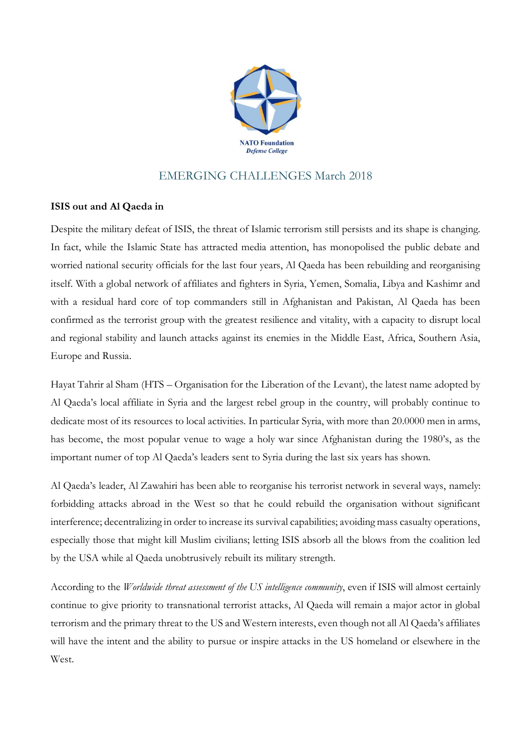

## EMERGING CHALLENGES March 2018

## **ISIS out and Al Qaeda in**

Despite the military defeat of ISIS, the threat of Islamic terrorism still persists and its shape is changing. In fact, while the Islamic State has attracted media attention, has monopolised the public debate and worried national security officials for the last four years, Al Qaeda has been rebuilding and reorganising itself. With a global network of affiliates and fighters in Syria, Yemen, Somalia, Libya and Kashimr and with a residual hard core of top commanders still in Afghanistan and Pakistan, Al Qaeda has been confirmed as the terrorist group with the greatest resilience and vitality, with a capacity to disrupt local and regional stability and launch attacks against its enemies in the Middle East, Africa, Southern Asia, Europe and Russia.

Hayat Tahrir al Sham (HTS – Organisation for the Liberation of the Levant), the latest name adopted by Al Qaeda's local affiliate in Syria and the largest rebel group in the country, will probably continue to dedicate most of its resources to local activities. In particular Syria, with more than 20.0000 men in arms, has become, the most popular venue to wage a holy war since Afghanistan during the 1980's, as the important numer of top Al Qaeda's leaders sent to Syria during the last six years has shown.

Al Qaeda's leader, Al Zawahiri has been able to reorganise his terrorist network in several ways, namely: forbidding attacks abroad in the West so that he could rebuild the organisation without significant interference; decentralizing in order to increase its survival capabilities; avoiding mass casualty operations, especially those that might kill Muslim civilians; letting ISIS absorb all the blows from the coalition led by the USA while al Qaeda unobtrusively rebuilt its military strength.

According to the *Worldwide threat assessment of the US intelligence community*, even if ISIS will almost certainly continue to give priority to transnational terrorist attacks, Al Qaeda will remain a major actor in global terrorism and the primary threat to the US and Western interests, even though not all Al Qaeda's affiliates will have the intent and the ability to pursue or inspire attacks in the US homeland or elsewhere in the West.